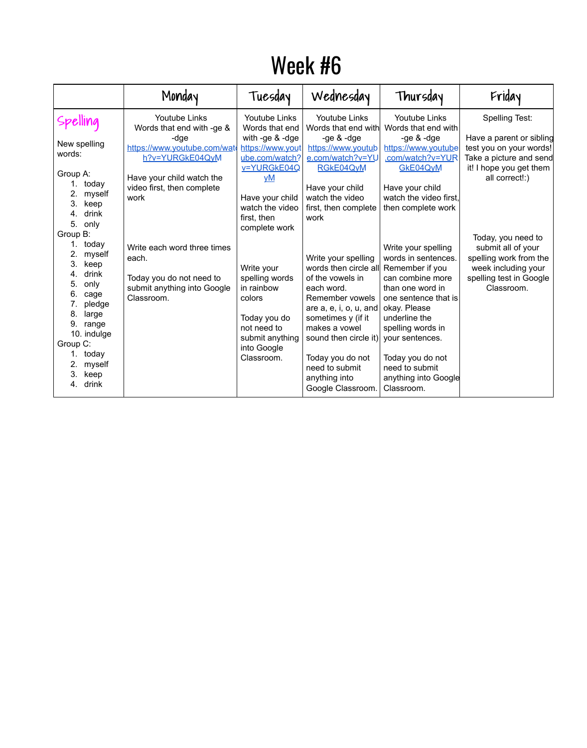## Week #6

|                                                                                                                                                                                                         | Monday                                                                                                                                                                          | Tuesday                                                                                                                                                                                             | Wednesday                                                                                                                                                                                                                                                                               | Thursday                                                                                                                                                                                                                                                        | Friday                                                                                                                                               |
|---------------------------------------------------------------------------------------------------------------------------------------------------------------------------------------------------------|---------------------------------------------------------------------------------------------------------------------------------------------------------------------------------|-----------------------------------------------------------------------------------------------------------------------------------------------------------------------------------------------------|-----------------------------------------------------------------------------------------------------------------------------------------------------------------------------------------------------------------------------------------------------------------------------------------|-----------------------------------------------------------------------------------------------------------------------------------------------------------------------------------------------------------------------------------------------------------------|------------------------------------------------------------------------------------------------------------------------------------------------------|
| Spelling<br>New spelling<br>words:<br>Group A:<br>today<br>myself<br>keep<br>3.<br>drink<br>4.<br>5.<br>only                                                                                            | <b>Youtube Links</b><br>Words that end with -ge &<br>-dge<br>https://www.youtube.com/wate<br>h?v=YURGkE04QyM<br>Have your child watch the<br>video first, then complete<br>work | <b>Youtube Links</b><br>Words that end<br>with -ge $&$ -dge<br>https://www.yout<br>ube.com/watch?<br>v=YURGkE04Q<br><u>yM</u><br>Have your child<br>watch the video<br>first, then<br>complete work | <b>Youtube Links</b><br>Words that end with<br>-ge $&$ -dge<br>https://www.youtub<br>e.com/watch?v=YU<br>RGKE04QyM<br>Have your child<br>watch the video<br>first, then complete<br>work                                                                                                | <b>Youtube Links</b><br>Words that end with<br>-ge $&$ -dge<br>https://www.youtube<br>.com/watch?v=YUR<br><b>GKE04QvM</b><br>Have your child<br>watch the video first,<br>then complete work                                                                    | <b>Spelling Test:</b><br>Have a parent or sibling<br>test you on your words!<br>Take a picture and send<br>it! I hope you get them<br>all correct!:) |
| Group B:<br>today<br>myself<br>keep<br>3.<br>drink<br>4.<br>only<br>5.<br>6.<br>cage<br>pledge<br>large<br>8.<br>9.<br>range<br>10. indulge<br>Group C:<br>today<br>myself<br>keep<br>3.<br>drink<br>4. | Write each word three times<br>each.<br>Today you do not need to<br>submit anything into Google<br>Classroom.                                                                   | Write your<br>spelling words<br>in rainbow<br>colors<br>Today you do<br>not need to<br>submit anything<br>into Google<br>Classroom.                                                                 | Write your spelling<br>words then circle all<br>of the vowels in<br>each word.<br>Remember vowels<br>are a, e, i, o, u, and<br>sometimes y (if it<br>makes a vowel<br>sound then circle it) your sentences.<br>Today you do not<br>need to submit<br>anything into<br>Google Classroom. | Write your spelling<br>words in sentences.<br>Remember if you<br>can combine more<br>than one word in<br>one sentence that is<br>okay. Please<br>underline the<br>spelling words in<br>Today you do not<br>need to submit<br>anything into Google<br>Classroom. | Today, you need to<br>submit all of your<br>spelling work from the<br>week including your<br>spelling test in Google<br>Classroom.                   |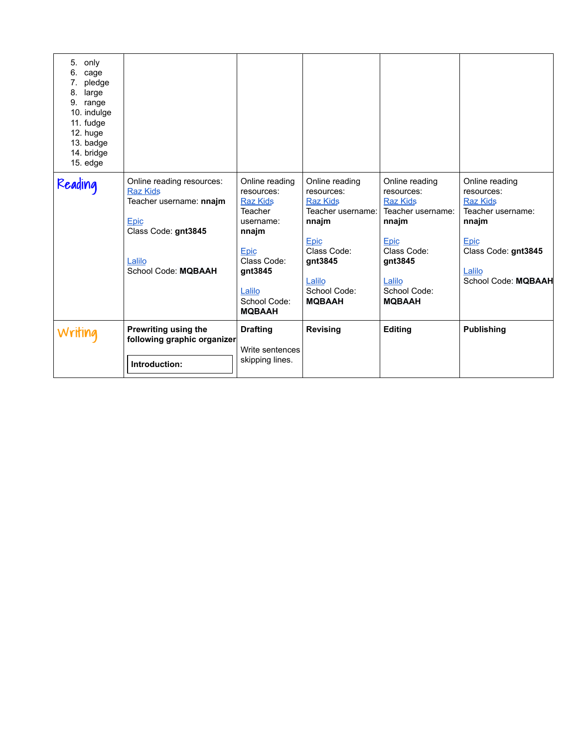| 5.<br>only<br>6.<br>cage<br>pledge<br>large<br>8.<br>9.<br>range<br>10. indulge<br>11. fudge<br>12. huge<br>13. badge<br>14. bridge<br>$15.$ edge |                                                                                                                                                       |                                                                                                                                                                                                  |                                                                                                                                                                                 |                                                                                                                                                                                 |                                                                                                                                                             |
|---------------------------------------------------------------------------------------------------------------------------------------------------|-------------------------------------------------------------------------------------------------------------------------------------------------------|--------------------------------------------------------------------------------------------------------------------------------------------------------------------------------------------------|---------------------------------------------------------------------------------------------------------------------------------------------------------------------------------|---------------------------------------------------------------------------------------------------------------------------------------------------------------------------------|-------------------------------------------------------------------------------------------------------------------------------------------------------------|
| Reading                                                                                                                                           | Online reading resources:<br><b>Raz Kids</b><br>Teacher username: nnajm<br><u>Epic</u><br>Class Code: gnt3845<br>Lalilo<br><b>School Code: MQBAAH</b> | Online reading<br>resources:<br><b>Raz Kids</b><br><b>Teacher</b><br>username:<br>nnajm<br><b>Epic</b><br><b>Class Code:</b><br>gnt3845<br><u>Lalilo</u><br><b>School Code:</b><br><b>MQBAAH</b> | Online reading<br>resources:<br><b>Raz Kids</b><br>Teacher username:<br>nnajm<br>Epic<br><b>Class Code:</b><br>gnt3845<br><u>Lalilo</u><br><b>School Code:</b><br><b>MQBAAH</b> | Online reading<br>resources:<br><b>Raz Kids</b><br>Teacher username:<br>nnajm<br><b>Epic</b><br><b>Class Code:</b><br>gnt3845<br>Lalilo<br><b>School Code:</b><br><b>MQBAAH</b> | Online reading<br>resources:<br><b>Raz Kids</b><br>Teacher username:<br>nnajm<br><b>Epic</b><br>Class Code: gnt3845<br>Lalilo<br><b>School Code: MQBAAH</b> |
| Writing                                                                                                                                           | <b>Prewriting using the</b><br>following graphic organizer<br>Introduction:                                                                           | <b>Drafting</b><br>Write sentences<br>skipping lines.                                                                                                                                            | <b>Revising</b>                                                                                                                                                                 | <b>Editing</b>                                                                                                                                                                  | <b>Publishing</b>                                                                                                                                           |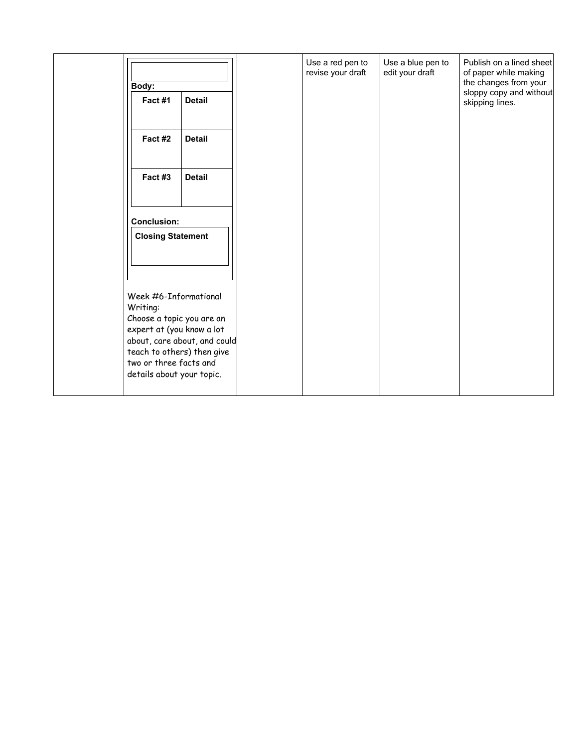| <b>Body:</b><br>Fact #1                                                                                                                                                          | <b>Detail</b>                | Use a red pen to<br>revise your draft | Use a blue pen to<br>edit your draft | Publish on a lined sheet<br>of paper while making<br>the changes from your<br>sloppy copy and without<br>skipping lines. |
|----------------------------------------------------------------------------------------------------------------------------------------------------------------------------------|------------------------------|---------------------------------------|--------------------------------------|--------------------------------------------------------------------------------------------------------------------------|
| Fact #2                                                                                                                                                                          | <b>Detail</b>                |                                       |                                      |                                                                                                                          |
| Fact #3                                                                                                                                                                          | <b>Detail</b>                |                                       |                                      |                                                                                                                          |
| <b>Conclusion:</b><br><b>Closing Statement</b>                                                                                                                                   |                              |                                       |                                      |                                                                                                                          |
| Week #6-Informational<br>Writing:<br>Choose a topic you are an<br>expert at (you know a lot<br>teach to others) then give<br>two or three facts and<br>details about your topic. | about, care about, and could |                                       |                                      |                                                                                                                          |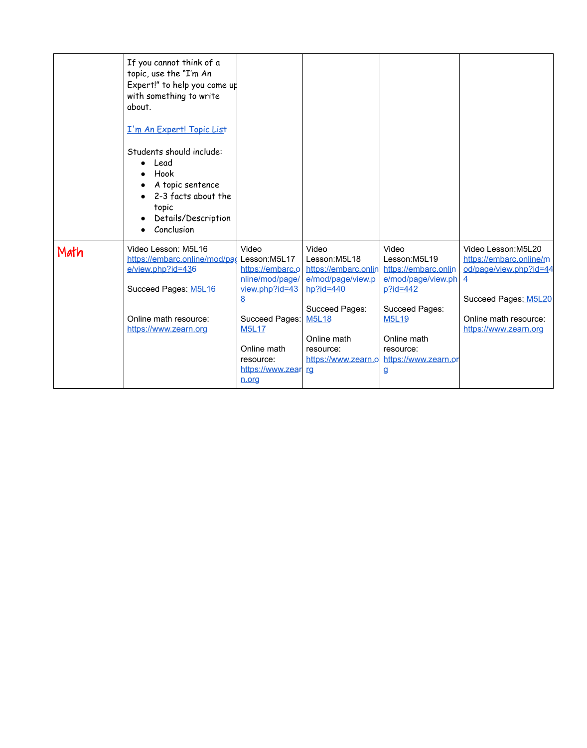|      | If you cannot think of a<br>topic, use the "I'm An<br>Expert!" to help you come up<br>with something to write<br>about.<br>I'm An Expert! Topic List<br>Students should include:<br>Lead<br>$\bullet$<br>Hook<br>$\bullet$<br>A topic sentence<br>2-3 facts about the<br>topic<br>Details/Description<br>Conclusion |                                                                                                                                                                                                |                                                                                                                                                                      |                                                                                                                                                                                                                  |                                                                                                                                                                      |
|------|---------------------------------------------------------------------------------------------------------------------------------------------------------------------------------------------------------------------------------------------------------------------------------------------------------------------|------------------------------------------------------------------------------------------------------------------------------------------------------------------------------------------------|----------------------------------------------------------------------------------------------------------------------------------------------------------------------|------------------------------------------------------------------------------------------------------------------------------------------------------------------------------------------------------------------|----------------------------------------------------------------------------------------------------------------------------------------------------------------------|
| Math | Video Lesson: M5L16<br>https://embarc.online/mod/pag<br>e/view.php?id=436<br>Succeed Pages: M5L16<br>Online math resource:<br>https://www.zearn.org                                                                                                                                                                 | Video<br>Lesson:M5L17<br>https://embarc.o<br>nline/mod/page/<br>$view.php?id=43$<br>8<br><b>Succeed Pages:</b><br><b>M5L17</b><br>Online math<br>resource:<br>https://www.zear<br><u>n.org</u> | Video<br>Lesson:M5L18<br>https://embarc.onlin<br>e/mod/page/view.p<br>$hp$ ?id=440<br><b>Succeed Pages:</b><br><b>M5L18</b><br>Online math<br>resource:<br><u>rg</u> | Video<br>Lesson:M5L19<br>https://embarc.onlin<br>e/mod/page/view.ph<br>$p$ ?id=442<br><b>Succeed Pages:</b><br><b>M5L19</b><br>Online math<br>resource:<br>https://www.zearn.ol https://www.zearn.or<br><u>g</u> | Video Lesson: M5L20<br>https://embarc.online/m<br>od/page/view.php?id=44<br>$\overline{4}$<br>Succeed Pages: M5L20<br>Online math resource:<br>https://www.zearn.org |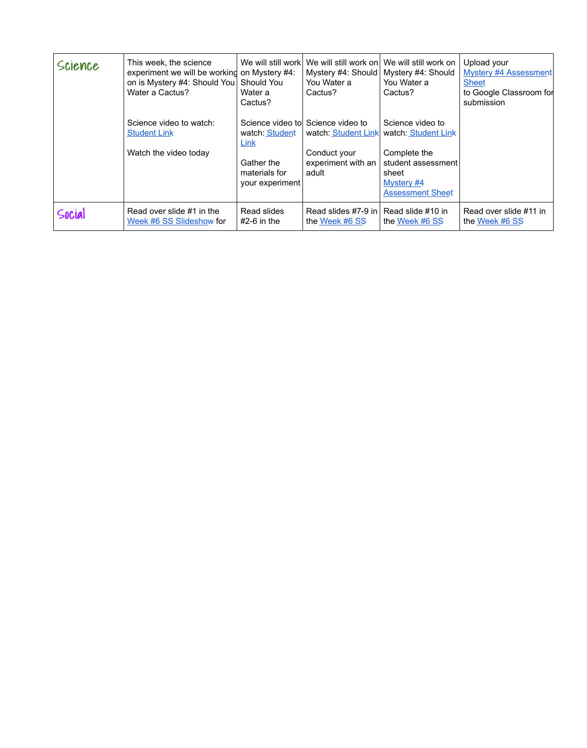| Science | This week, the science<br>experiment we will be working on Mystery #4:<br>on is Mystery #4: Should You<br>Water a Cactus? | <b>Should You</b><br>Water a<br>Cactus?                                  | We will still work We will still work on<br>Mystery #4: Should<br>You Water a<br>Cactus?                 | We will still work on<br>Mystery #4: Should<br>You Water a<br>Cactus?                                                           | Upload your<br><b>Mystery #4 Assessment</b><br><b>Sheet</b><br>to Google Classroom for<br>submission |
|---------|---------------------------------------------------------------------------------------------------------------------------|--------------------------------------------------------------------------|----------------------------------------------------------------------------------------------------------|---------------------------------------------------------------------------------------------------------------------------------|------------------------------------------------------------------------------------------------------|
|         | Science video to watch:<br><b>Student Link</b><br>Watch the video today                                                   | watch: Student<br>Link<br>Gather the<br>materials for<br>your experiment | Science video tol Science video to<br>watch: Student Link<br>Conduct your<br>experiment with an<br>adult | Science video to<br>watch: Student Link<br>Complete the<br>student assessment<br>sheet<br>Mystery #4<br><b>Assessment Sheet</b> |                                                                                                      |
| Social  | Read over slide #1 in the<br>Week #6 SS Slideshow for                                                                     | <b>Read slides</b><br>$#2-6$ in the                                      | Read slides #7-9 in<br>the Week #6 SS                                                                    | Read slide #10 in<br>the Week #6 SS                                                                                             | Read over slide #11 in<br>the Week #6 SS                                                             |